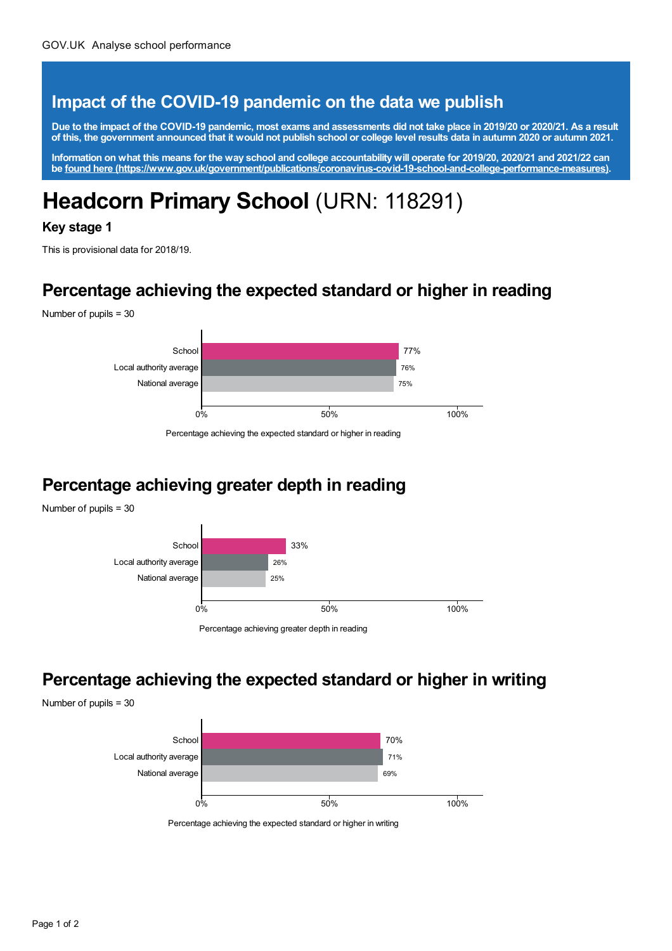#### **Impact of the COVID-19 pandemic on the data we publish**

Due to the impact of the COVID-19 pandemic, most exams and assessments did not take place in 2019/20 or 2020/21. As a result of this, the government announced that it would not publish school or college level results data in autumn 2020 or autumn 2021.

Information on what this means for the way school and college accountability will operate for 2019/20, 2020/21 and 2021/22 can **be found here [\(https://www.gov.uk/government/publications/coronavirus-covid-19-school-and-college-performance-measures\)](https://www.gov.uk/government/publications/coronavirus-covid-19-school-and-college-performance-measures).**

# **Headcorn Primary School** (URN: 118291)

#### **Key stage 1**

This is provisional data for 2018/19.

#### **Percentage achieving the expected standard or higher in reading**

Number of pupils = 30



Percentage achieving the expected standard or higher in reading

### **Percentage achieving greater depth in reading**

Number of pupils = 30



Percentage achieving greater depth in reading

#### **Percentage achieving the expected standard or higher in writing**

Number of pupils = 30



Percentage achieving the expected standard or higher in writing